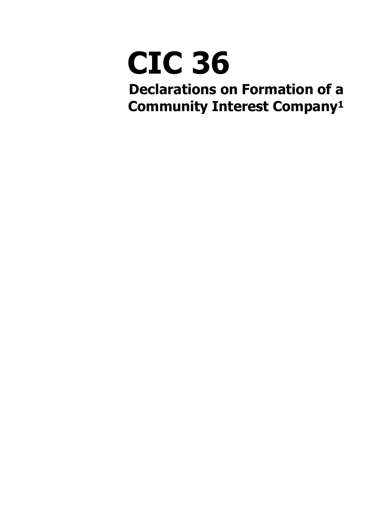# **CIC 36**

<span id="page-0-0"></span>**Declarations on Formation of a Community Interest Compan[y1](#page-6-0)**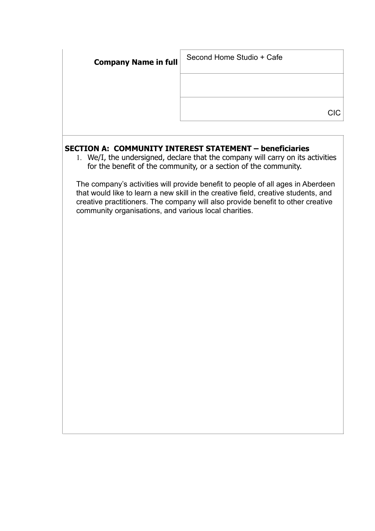| <b>CIC</b> |
|------------|

# **SECTION A: COMMUNITY INTEREST STATEMENT – beneficiaries**

1. We/I, the undersigned, declare that the company will carry on its activities for the benefit of the community, or a section of the community.

The company's activities will provide benefit to people of all ages in Aberdeen that would like to learn a new skill in the creative field, creative students, and creative practitioners. The company will also provide benefit to other creative community organisations, and various local charities.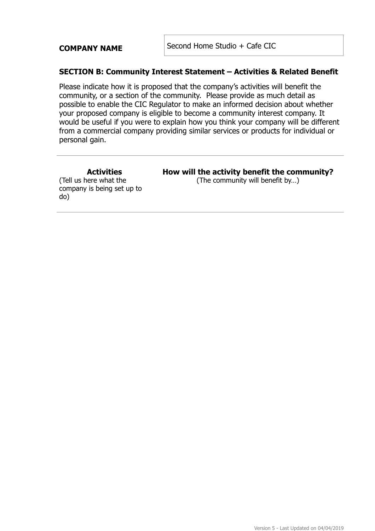**COMPANY NAME** Second Home Studio + Cafe CIC

#### **SECTION B: Community Interest Statement – Activities & Related Benefit**

Please indicate how it is proposed that the company's activities will benefit the community, or a section of the community. Please provide as much detail as possible to enable the CIC Regulator to make an informed decision about whether your proposed company is eligible to become a community interest company. It would be useful if you were to explain how you think your company will be different from a commercial company providing similar services or products for individual or personal gain.

**Activities**  (Tell us here what the company is being set up to do)

#### **How will the activity benefit the community?**  (The community will benefit by…)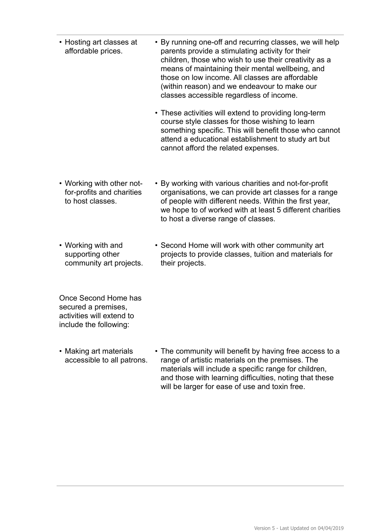- Hosting art classes at affordable prices. • By running one-off and recurring classes, we will help parents provide a stimulating activity for their children, those who wish to use their creativity as a means of maintaining their mental wellbeing, and those on low income. All classes are affordable (within reason) and we endeavour to make our classes accessible regardless of income.
	- These activities will extend to providing long-term course style classes for those wishing to learn something specific. This will benefit those who cannot attend a educational establishment to study art but cannot afford the related expenses.
- Working with other notfor-profits and charities to host classes. • By working with various charities and not-for-profit organisations, we can provide art classes for a range of people with different needs. Within the first year, we hope to of worked with at least 5 different charities to host a diverse range of classes.
- Working with and supporting other community art projects. • Second Home will work with other community art projects to provide classes, tuition and materials for their projects.

Once Second Home has secured a premises, activities will extend to include the following:

• Making art materials accessible to all patrons. • The community will benefit by having free access to a range of artistic materials on the premises. The materials will include a specific range for children, and those with learning difficulties, noting that these will be larger for ease of use and toxin free.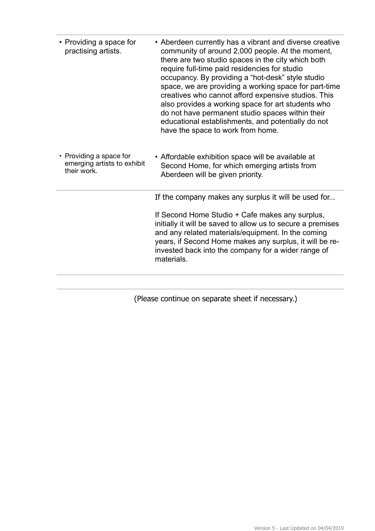| • Providing a space for<br>practising artists.                        | • Aberdeen currently has a vibrant and diverse creative<br>community of around 2,000 people. At the moment,<br>there are two studio spaces in the city which both<br>require full-time paid residencies for studio<br>occupancy. By providing a "hot-desk" style studio<br>space, we are providing a working space for part-time<br>creatives who cannot afford expensive studios. This<br>also provides a working space for art students who<br>do not have permanent studio spaces within their<br>educational establishments, and potentially do not<br>have the space to work from home. |
|-----------------------------------------------------------------------|----------------------------------------------------------------------------------------------------------------------------------------------------------------------------------------------------------------------------------------------------------------------------------------------------------------------------------------------------------------------------------------------------------------------------------------------------------------------------------------------------------------------------------------------------------------------------------------------|
| • Providing a space for<br>emerging artists to exhibit<br>their work. | • Affordable exhibition space will be available at<br>Second Home, for which emerging artists from<br>Aberdeen will be given priority.                                                                                                                                                                                                                                                                                                                                                                                                                                                       |
|                                                                       | If the company makes any surplus it will be used for                                                                                                                                                                                                                                                                                                                                                                                                                                                                                                                                         |
|                                                                       | If Second Home Studio + Cafe makes any surplus,<br>initially it will be saved to allow us to secure a premises<br>and any related materials/equipment. In the coming<br>years, if Second Home makes any surplus, it will be re-<br>invested back into the company for a wider range of<br>materials.                                                                                                                                                                                                                                                                                         |
|                                                                       |                                                                                                                                                                                                                                                                                                                                                                                                                                                                                                                                                                                              |

(Please continue on separate sheet if necessary.)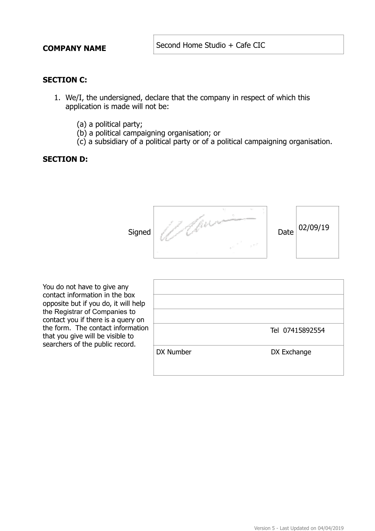**COMPANY NAME** Second Home Studio + Cafe CIC

### **SECTION C:**

- 1. We/I, the undersigned, declare that the company in respect of which this application is made will not be:
	- (a) a political party;
	- (b) a political campaigning organisation; or
	- (c) a subsidiary of a political party or of a political campaigning organisation.

#### **SECTION D:**



You do not have to give any contact information in the box opposite but if you do, it will help the Registrar of Companies to contact you if there is a query on the form. The contact information that you give will be visible to searchers of the public record.

| Tel 07415892554          |  |
|--------------------------|--|
| DX Number<br>DX Exchange |  |
|                          |  |